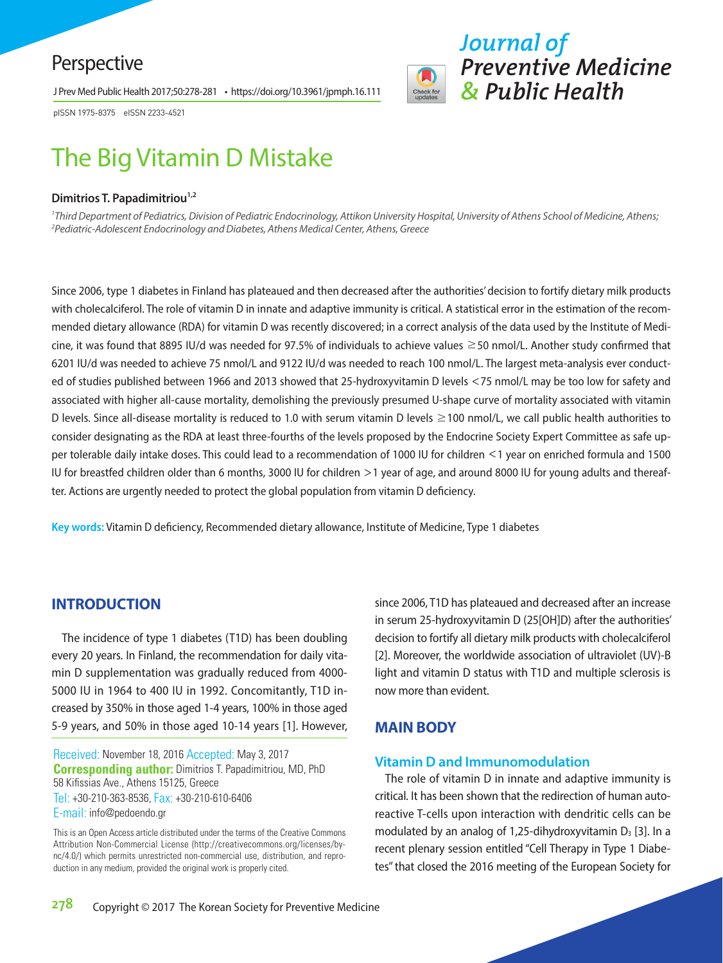# Perspective

J Prev Med Public Health 2017;50:278-281 • https://doi.org/10.3961/jpmph.16.111

pISSN 1975-8375 eISSN 2233-4521

# The Big Vitamin D Mistake

#### **Dimitrios T. Papadimitriou**<sup>1,2</sup>

*1 Third Department of Pediatrics, Division of Pediatric Endocrinology, Attikon University Hospital, University of Athens School of Medicine, Athens; 2 Pediatric-Adolescent Endocrinology and Diabetes, Athens Medical Center, Athens, Greece*

Since 2006, type 1 diabetes in Finland has plateaued and then decreased after the authorities' decision to fortify dietary milk products with cholecalciferol. The role of vitamin D in innate and adaptive immunity is critical. A statistical error in the estimation of the recommended dietary allowance (RDA) for vitamin D was recently discovered; in a correct analysis of the data used by the Institute of Medicine, it was found that 8895 IU/d was needed for 97.5% of individuals to achieve values ≥50 nmol/L. Another study confirmed that 6201 IU/d was needed to achieve 75 nmol/L and 9122 IU/d was needed to reach 100 nmol/L. The largest meta-analysis ever conducted of studies published between 1966 and 2013 showed that 25-hydroxyvitamin D levels <75 nmol/L may be too low for safety and associated with higher all-cause mortality, demolishing the previously presumed U-shape curve of mortality associated with vitamin D levels. Since all-disease mortality is reduced to 1.0 with serum vitamin D levels ≥100 nmol/L, we call public health authorities to consider designating as the RDA at least three-fourths of the levels proposed by the Endocrine Society Expert Committee as safe upper tolerable daily intake doses. This could lead to a recommendation of 1000 IU for children <1 year on enriched formula and 1500 IU for breastfed children older than 6 months, 3000 IU for children >1 year of age, and around 8000 IU for young adults and thereafter. Actions are urgently needed to protect the global population from vitamin D deficiency.

**Key words:** Vitamin D deficiency, Recommended dietary allowance, Institute of Medicine, Type 1 diabetes

# **INTRODUCTION**

The incidence of type 1 diabetes (T1D) has been doubling every 20 years. In Finland, the recommendation for daily vitamin D supplementation was gradually reduced from 4000- 5000 IU in 1964 to 400 IU in 1992. Concomitantly, T1D increased by 350% in those aged 1-4 years, 100% in those aged 5-9 years, and 50% in those aged 10-14 years [1]. However,

Received: November 18, 2016 Accepted: May 3, 2017 **Corresponding author:** Dimitrios T. Papadimitriou, MD, PhD 58 Kifissias Ave., Athens 15125, Greece Tel: +30-210-363-8536, Fax: +30-210-610-6406 E-mail: info@pedoendo.gr

This is an Open Access article distributed under the terms of the Creative Commons Attribution Non-Commercial License (http://creativecommons.org/licenses/bync/4.0/) which permits unrestricted non-commercial use, distribution, and reproduction in any medium, provided the original work is properly cited.

since 2006, T1D has plateaued and decreased after an increase in serum 25-hydroxyvitamin D (25[OH]D) after the authorities' decision to fortify all dietary milk products with cholecalciferol [2]. Moreover, the worldwide association of ultraviolet (UV)-B light and vitamin D status with T1D and multiple sclerosis is now more than evident.

*Journal of* 

*Preventive Medicine* 

*& Public Health*

# **MAIN BODY**

# **Vitamin D and Immunomodulation**

The role of vitamin D in innate and adaptive immunity is critical. It has been shown that the redirection of human autoreactive T-cells upon interaction with dendritic cells can be modulated by an analog of 1,25-dihydroxyvitamin  $D_3$  [3]. In a recent plenary session entitled "Cell Therapy in Type 1 Diabetes" that closed the 2016 meeting of the European Society for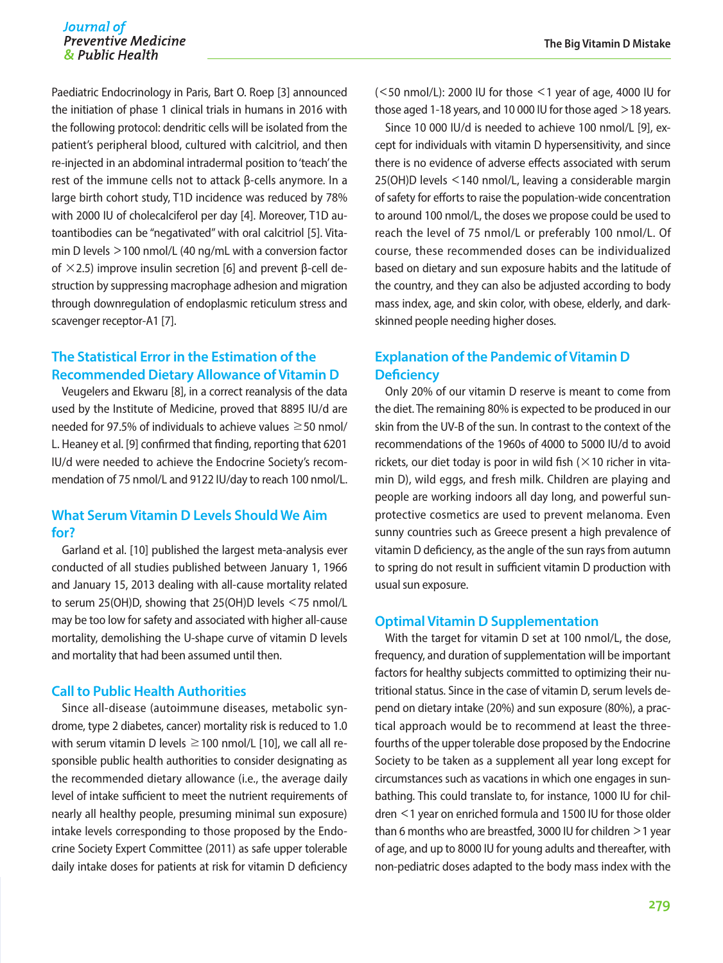Paediatric Endocrinology in Paris, Bart O. Roep [3] announced the initiation of phase 1 clinical trials in humans in 2016 with the following protocol: dendritic cells will be isolated from the patient's peripheral blood, cultured with calcitriol, and then re-injected in an abdominal intradermal position to 'teach' the rest of the immune cells not to attack β-cells anymore. In a large birth cohort study, T1D incidence was reduced by 78% with 2000 IU of cholecalciferol per day [4]. Moreover, T1D autoantibodies can be "negativated" with oral calcitriol [5]. Vitamin D levels >100 nmol/L (40 ng/mL with a conversion factor of  $\times$ 2.5) improve insulin secretion [6] and prevent β-cell destruction by suppressing macrophage adhesion and migration through downregulation of endoplasmic reticulum stress and scavenger receptor-A1 [7].

# **The Statistical Error in the Estimation of the Recommended Dietary Allowance of Vitamin D**

Veugelers and Ekwaru [8], in a correct reanalysis of the data used by the Institute of Medicine, proved that 8895 IU/d are needed for 97.5% of individuals to achieve values  $\geq$  50 nmol/ L. Heaney et al. [9] confirmed that finding, reporting that 6201 IU/d were needed to achieve the Endocrine Society's recommendation of 75 nmol/L and 9122 IU/day to reach 100 nmol/L.

### **What Serum Vitamin D Levels Should We Aim for?**

Garland et al. [10] published the largest meta-analysis ever conducted of all studies published between January 1, 1966 and January 15, 2013 dealing with all-cause mortality related to serum 25(OH)D, showing that 25(OH)D levels <75 nmol/L may be too low for safety and associated with higher all-cause mortality, demolishing the U-shape curve of vitamin D levels and mortality that had been assumed until then.

#### **Call to Public Health Authorities**

Since all-disease (autoimmune diseases, metabolic syndrome, type 2 diabetes, cancer) mortality risk is reduced to 1.0 with serum vitamin D levels  $\geq$  100 nmol/L [10], we call all responsible public health authorities to consider designating as the recommended dietary allowance (i.e., the average daily level of intake sufficient to meet the nutrient requirements of nearly all healthy people, presuming minimal sun exposure) intake levels corresponding to those proposed by the Endocrine Society Expert Committee (2011) as safe upper tolerable daily intake doses for patients at risk for vitamin D deficiency  $(<$  50 nmol/L): 2000 IU for those  $<$  1 year of age, 4000 IU for those aged 1-18 years, and 10 000 IU for those aged >18 years.

Since 10 000 IU/d is needed to achieve 100 nmol/L [9], except for individuals with vitamin D hypersensitivity, and since there is no evidence of adverse effects associated with serum 25(OH)D levels <140 nmol/L, leaving a considerable margin of safety for efforts to raise the population-wide concentration to around 100 nmol/L, the doses we propose could be used to reach the level of 75 nmol/L or preferably 100 nmol/L. Of course, these recommended doses can be individualized based on dietary and sun exposure habits and the latitude of the country, and they can also be adjusted according to body mass index, age, and skin color, with obese, elderly, and darkskinned people needing higher doses.

# **Explanation of the Pandemic of Vitamin D Deficiency**

Only 20% of our vitamin D reserve is meant to come from the diet. The remaining 80% is expected to be produced in our skin from the UV-B of the sun. In contrast to the context of the recommendations of the 1960s of 4000 to 5000 IU/d to avoid rickets, our diet today is poor in wild fish  $(\times 10)$  richer in vitamin D), wild eggs, and fresh milk. Children are playing and people are working indoors all day long, and powerful sunprotective cosmetics are used to prevent melanoma. Even sunny countries such as Greece present a high prevalence of vitamin D deficiency, as the angle of the sun rays from autumn to spring do not result in sufficient vitamin D production with usual sun exposure.

#### **Optimal Vitamin D Supplementation**

With the target for vitamin D set at 100 nmol/L, the dose, frequency, and duration of supplementation will be important factors for healthy subjects committed to optimizing their nutritional status. Since in the case of vitamin D, serum levels depend on dietary intake (20%) and sun exposure (80%), a practical approach would be to recommend at least the threefourths of the upper tolerable dose proposed by the Endocrine Society to be taken as a supplement all year long except for circumstances such as vacations in which one engages in sunbathing. This could translate to, for instance, 1000 IU for children <1 year on enriched formula and 1500 IU for those older than 6 months who are breastfed, 3000 IU for children >1 year of age, and up to 8000 IU for young adults and thereafter, with non-pediatric doses adapted to the body mass index with the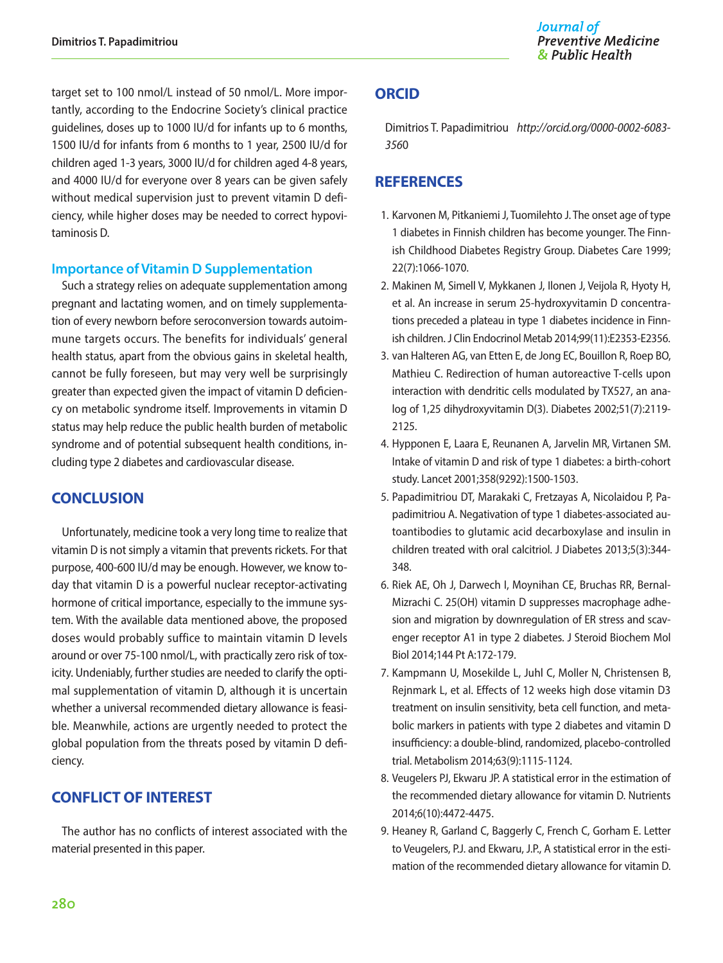target set to 100 nmol/L instead of 50 nmol/L. More importantly, according to the Endocrine Society's clinical practice guidelines, doses up to 1000 IU/d for infants up to 6 months, 1500 IU/d for infants from 6 months to 1 year, 2500 IU/d for children aged 1-3 years, 3000 IU/d for children aged 4-8 years, and 4000 IU/d for everyone over 8 years can be given safely without medical supervision just to prevent vitamin D deficiency, while higher doses may be needed to correct hypovitaminosis D.

#### **Importance of Vitamin D Supplementation**

Such a strategy relies on adequate supplementation among pregnant and lactating women, and on timely supplementation of every newborn before seroconversion towards autoimmune targets occurs. The benefits for individuals' general health status, apart from the obvious gains in skeletal health, cannot be fully foreseen, but may very well be surprisingly greater than expected given the impact of vitamin D deficiency on metabolic syndrome itself. Improvements in vitamin D status may help reduce the public health burden of metabolic syndrome and of potential subsequent health conditions, including type 2 diabetes and cardiovascular disease.

# **CONCLUSION**

Unfortunately, medicine took a very long time to realize that vitamin D is not simply a vitamin that prevents rickets. For that purpose, 400-600 IU/d may be enough. However, we know today that vitamin D is a powerful nuclear receptor-activating hormone of critical importance, especially to the immune system. With the available data mentioned above, the proposed doses would probably suffice to maintain vitamin D levels around or over 75-100 nmol/L, with practically zero risk of toxicity. Undeniably, further studies are needed to clarify the optimal supplementation of vitamin D, although it is uncertain whether a universal recommended dietary allowance is feasible. Meanwhile, actions are urgently needed to protect the global population from the threats posed by vitamin D deficiency.

# **CONFLICT OF INTEREST**

The author has no conflicts of interest associated with the material presented in this paper.

# **ORCID**

Dimitrios T. Papadimitriou *http://orcid.org/0000-0002-6083- 356*0

# **REFERENCES**

- 1. Karvonen M, Pitkaniemi J, Tuomilehto J. The onset age of type 1 diabetes in Finnish children has become younger. The Finnish Childhood Diabetes Registry Group. Diabetes Care 1999; 22(7):1066-1070.
- 2. Makinen M, Simell V, Mykkanen J, Ilonen J, Veijola R, Hyoty H, et al. An increase in serum 25-hydroxyvitamin D concentrations preceded a plateau in type 1 diabetes incidence in Finnish children. J Clin Endocrinol Metab 2014;99(11):E2353-E2356.
- 3. van Halteren AG, van Etten E, de Jong EC, Bouillon R, Roep BO, Mathieu C. Redirection of human autoreactive T-cells upon interaction with dendritic cells modulated by TX527, an analog of 1,25 dihydroxyvitamin D(3). Diabetes 2002;51(7):2119- 2125.
- 4. Hypponen E, Laara E, Reunanen A, Jarvelin MR, Virtanen SM. Intake of vitamin D and risk of type 1 diabetes: a birth-cohort study. Lancet 2001;358(9292):1500-1503.
- 5. Papadimitriou DT, Marakaki C, Fretzayas A, Nicolaidou P, Papadimitriou A. Negativation of type 1 diabetes-associated autoantibodies to glutamic acid decarboxylase and insulin in children treated with oral calcitriol. J Diabetes 2013;5(3):344- 348.
- 6. Riek AE, Oh J, Darwech I, Moynihan CE, Bruchas RR, Bernal-Mizrachi C. 25(OH) vitamin D suppresses macrophage adhesion and migration by downregulation of ER stress and scavenger receptor A1 in type 2 diabetes. J Steroid Biochem Mol Biol 2014;144 Pt A:172-179.
- 7. Kampmann U, Mosekilde L, Juhl C, Moller N, Christensen B, Rejnmark L, et al. Effects of 12 weeks high dose vitamin D3 treatment on insulin sensitivity, beta cell function, and metabolic markers in patients with type 2 diabetes and vitamin D insufficiency: a double-blind, randomized, placebo-controlled trial. Metabolism 2014;63(9):1115-1124.
- 8. Veugelers PJ, Ekwaru JP. A statistical error in the estimation of the recommended dietary allowance for vitamin D. Nutrients 2014;6(10):4472-4475.
- 9. Heaney R, Garland C, Baggerly C, French C, Gorham E. Letter to Veugelers, P.J. and Ekwaru, J.P., A statistical error in the estimation of the recommended dietary allowance for vitamin D.